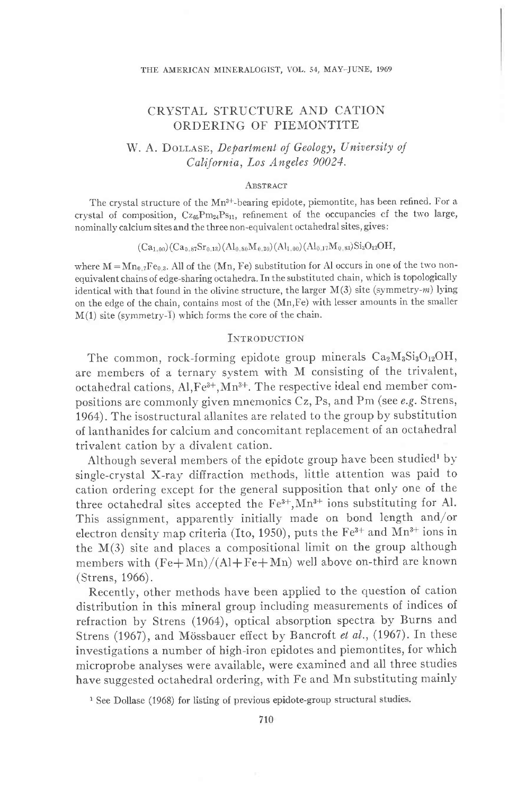#### THE AMERICAN MINERALOGIST, VOL. 54, MAY-JUNE, 1969

# CRYSTAL STRUCTURE AND CATION ORDERING OF PIEMONTITE

# W. A. DOLLASE, Department of Geology, University of California, Los Angeles 90021.

#### **ABSTRACT**

The crystal structure of the Mn<sup>3+</sup>-bearing epidote, piemontite, has been refined. For a crystal of composition,  $Cz_{65}Pm_{24}Ps_{11}$ , refinement of the occupancies cf the two large, nominally calcium sites and the three non-equivalent octahedral sites, gives:

#### $(Ca_{1,00})(Ca_{0.87}Sr_{0.13})(Al_{0.80}M_{0.20})(Al_{1.00})(Al_{0.17}M_{0.83})Si_3O_{12}OH,$

where  $M = Mn_{0.7}Fe_{0.3}$ . All of the (Mn, Fe) substitution for Al occurs in one of the two nonequivalent chains of edge-sharing octahedra. In the substituted chain, which is topologically identical with that found in the olivine structure, the larger  $M(3)$  site (symmetry-m) lying on the edge of the chain, contains most of the (Mn,Fe) with lesser amounts in the smaller M(1) site (symmetry-T) which forms the core of the chain.

### INTRODUCTION

The common, rock-forming epidote group minerals  $Ca<sub>2</sub>M<sub>3</sub>Si<sub>3</sub>O<sub>12</sub>OH$ , are members of a ternary svstem with M consisting of the trivalent, octahedral cations,  $Al, Fe^{3+}, Mn^{3+}$ . The respective ideal end member compositions are commonly given mnemonics Cz, Ps, and Pm (see e.g. Strens, 1964). The isostructural allanites are related to the group by substitution of lanthanides for calcium and concomitant replacement of an octahedral trivalent cation by a divalent cation.

Although several members of the epidote group have been studied<sup>1</sup> by single-crystal X-ray diffraction methods, iittle attention was paid to cation ordering except for the general supposition that only one of the three octahedral sites accepted the  $Fe^{3+}, Mn^{3+}$  ions substituting for Al. This assignment, apparently initially made on bond length and/or electron density map criteria (Ito, 1950), puts the Fe<sup>3+</sup> and Mn<sup>3+</sup> ions in the  $M(3)$  site and places a compositional limit on the group although members with  $(Fe+Mn)/(Al+Fe+Mn)$  well above on-third are known (Strens, 1966).

Recently, other methods have been applied to the question of cation distribution in this mineral group including measurements of indices of refraction by Strens (1964), optical absorption spectra by Burns and Strens (1967), and Mössbauer effect by Bancroft et al., (1967). In these investigations a number of high-iron epidotes and piemontites, for which microprobe analyses were available, were examined and all three studies have suggested octahedral ordering, with Fe and Mn substituting mainly

<sup>&</sup>lt;sup>1</sup> See Dollase (1968) for listing of previous epidote-group structural studies.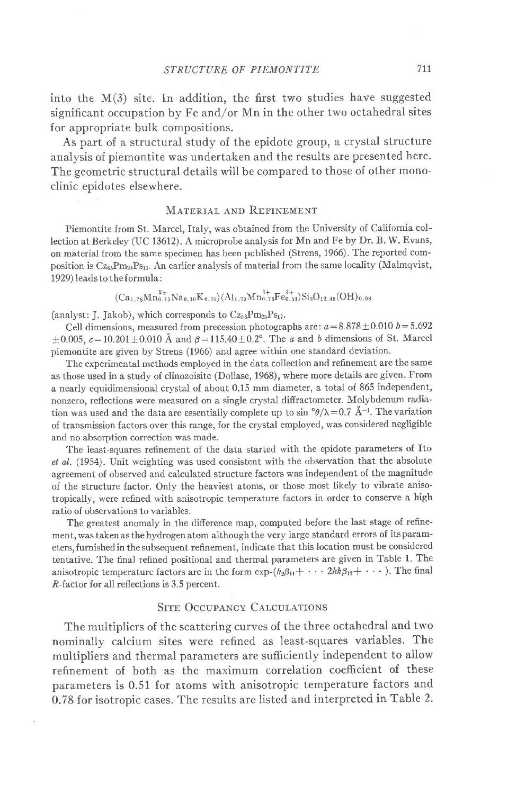into the  $M(3)$  site. In addition, the first two studies have suggested significant occupation by Fe and/or Mn in the other two octahedral sites for appropriate bulk compositions.

As part of a structural study of the epidote group, a crystal structure analysis of piemontite was undertaken and the results are presented here. The geometric structural details will be compared to those of other monoclinic epidotes elsewhere.

### MATERIAL AND REFINEMENT

Piemontite from St. Marcel, Italy, was obtained from the University of California collection at Berkeley (UC 13612). A microprobe analysis for Mn and Fe by Dr. B. W. Evans, on material from the same specimen has been published (Strens, 1966). The reported composition is  $C_{z_{65}}P_{m_{24}}P_{s_{11}}$ . An earlier analysis of material from the same locality (Malmqvist, 1929) leads to the formula:

 $(Ca_{1,78}Mn_{0,13}^{2+}Na_{0,10}K_{0,03})(Al_{1,73}Mn_{0,76}^{3+}Fe_{0,51}^{3+})Si_3O_{12,45}(OH)_{0,03}$ 

(analyst: J. Jakob), which corresponds to  $Cz_{58}Pm_{25}Ps_{17}$ .

Cell dimensions, measured from precession photographs are:  $a=8.878 \pm 0.010$   $b=5.692$  $\pm 0.005$ ,  $c=10.201 \pm 0.010$  Å and  $\beta=115.40 \pm 0.2^{\circ}$ . The *a* and *b* dimensions of St. Marcel piemontite are given by Strens (1966) and agree within one standard deviation.

The experimental methods employed in the data collection and refinement are the same as those used in a study of clinozoisite (Dollase, 1968), where more details are given. From a nearly equidimensional crystal of about 0.15 mm diameter, a total of 865 independent, nonzero, reflections were measured on a single crystal diffractometer. Molybdenum radiation was used and the data are essentially complete up to sin  $\mathcal{A}/\lambda = 0.7 \text{ Å}^{-1}$ . The variation of transmission factors over this range, for the crystal employed, was considered negligible and no absorption correction was made.

The least-squares refinement of the data started with the epidote parameters of Ito et al. (1954). Unit weighting was used consistent with the observation that the absolute agreement of observed and calculated structure factors was independent of the magnitude of the structure factor. Oniy the heaviest atoms, or those most likely to vibrate anisotropically, were refined with anisotropic temperature factors in order to conserve a high ratio of observations to variables.

The greatest anomaly in the difference map, computed before the last stage of refinement, was taken as the hydrogen atom although the very large standard errors of its parameters, furnished in the subsequent refinement, indicate that this location must be considered tentative. The final refined positional and thermal parameters are given in Table 1. The anisotropic temperature factors are in the form  $\exp-(h_2\beta_{11}+\cdots 2h k\beta_{12}+\cdots)$ . The final R-factor for all reflections is 3.5 percent.

## SITE OCCUPANCY CALCULATIONS

The multipliers of the scattering curves of the three octahedral and two nominallv calcium sites were refined as least-squares variables. The multipliers and thermal parameters are sufficiently independent to allow refinement of both as the maximum correlation coefficient of these parameters is 0.51 for atoms with anisotropic temperature factors and 0.78 for isotropic cases. The results are listed and interpreted in Table 2.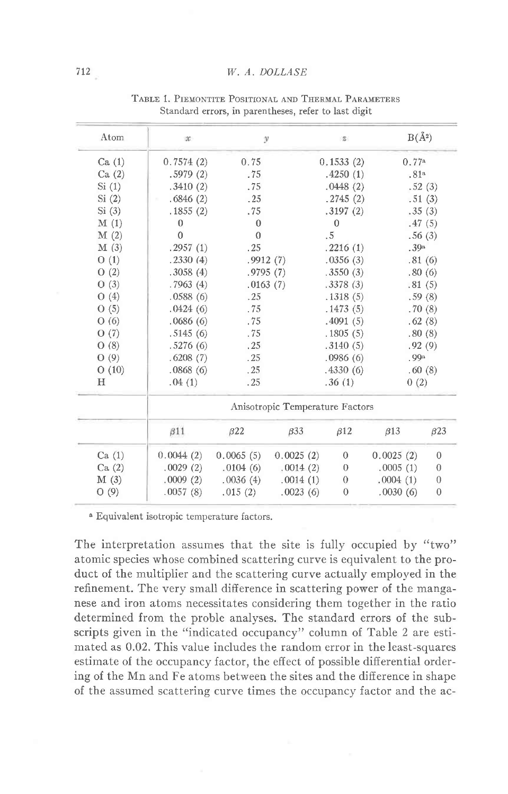#### W. A. DOLLASE

| Atom  | $30^{\circ}$                    | у            |            | (5)              |                  | $B(\AA^2)$ |              |
|-------|---------------------------------|--------------|------------|------------------|------------------|------------|--------------|
| Ca(1) | 0.7574(2)                       | 0.75         |            | 0.1533(2)        |                  | 0.77a      |              |
| Ca(2) | .5979(2)                        | .75          |            | .4250(1)         | .81 <sup>a</sup> |            |              |
| Si(1) | .3410(2)                        | .75          |            | .0448(2)         | .52(3)           |            |              |
| Si(2) | .6846(2)                        | .25          |            | .2745(2)         | .51(3)           |            |              |
| Si(3) | .1855(2)                        | .75          |            | .3197(2)         | .35(3)           |            |              |
| M(1)  | $\theta$                        | $\mathbf{0}$ |            | $\mathbf{0}$     |                  | .47(5)     |              |
| M(2)  | $\Omega$                        | $\theta$     |            | .5               |                  | .56(3)     |              |
| M(3)  | .2957(1)                        | .25          |            | .2216(1)         | .39a             |            |              |
| O(1)  | .2330(4)                        | .9912(7)     |            | .0356(3)         |                  | .81(6)     |              |
| O(2)  | .3058(4)                        | .9795(7)     |            | .3550(3)         |                  | .80(6)     |              |
| O(3)  | .7963(4)                        | .0163(7)     |            | .3378(3)         | .81(5)           |            |              |
| O(4)  | .0588(6)                        | .25          |            | .1318(5)         | .59(8)           |            |              |
| O(5)  | .0424(6)                        | .75          |            | .1473(5)         |                  | .70(8)     |              |
| O(6)  | .0686(6)                        | .75          |            | .4091(5)         | .62(8)           |            |              |
| O(7)  | .5145(6)                        | .75          |            | .1805(5)         | .80(8)           |            |              |
| O(8)  | .5276(6)                        | .25          |            | .3140(5)         | .92(9)           |            |              |
| O(9)  | .6208(7)                        | .25          |            | .0986(6)         | .99a             |            |              |
| O(10) | .0868(6)                        | .25          |            | .4330(6)         | .60(8)           |            |              |
| Н     | .04(1)                          | .25          |            | .36(1)           | 0(2)             |            |              |
|       | Anisotropic Temperature Factors |              |            |                  |                  |            |              |
|       | $\beta$ 11                      | $\beta$ 22   | $\beta$ 33 | $\beta$ 12       | $\beta$ 13       |            | $\beta$ 23   |
| Ca(1) | 0.0044(2)                       | 0.0065(5)    | 0.0025(2)  | $\mathbf{0}$     | 0.0025(2)        |            | $\mathbf{0}$ |
| Ca(2) | .0029(2)                        | .0104(6)     | .0014(2)   | $\theta$         | .0005(1)         |            | $\theta$     |
| M(3)  | .0009(2)                        | .0036(4)     | .0014(1)   | $\boldsymbol{0}$ | .0004(1)         |            | $\theta$     |
| O(9)  | .0057(8)                        | .015(2)      | .0023(6)   | $\theta$         | .0030(6)         |            | $\mathbf{0}$ |

TABLE 1. PIEMONTITE POSITIONAL AND THERMAL PARAMETERS Standard errors, in parentheses, refer to last digit

<sup>a</sup> Equivalent isotropic temperature factors.

The interpretation assumes that the site is fully occupied by "two" atomic species whose combined scattering curve is equivalent to the product of the multiplier and the scattering curve actually employed in the refinement. The very small difference in scattering power of the manganese and iron atoms necessitates considering them together in the ratio determined from the proble analyses. The standard errors of the subscripts given in the "indicated occupancy" column of Table 2 are estimated as 0.02. This value includes the random error in the least-squares estimate of the occupancy factor, the effect of possible differential ordering of the Mn and Fe atoms between the sites and the difference in shape of the assumed scattering curve times the occupancy factor and the ac-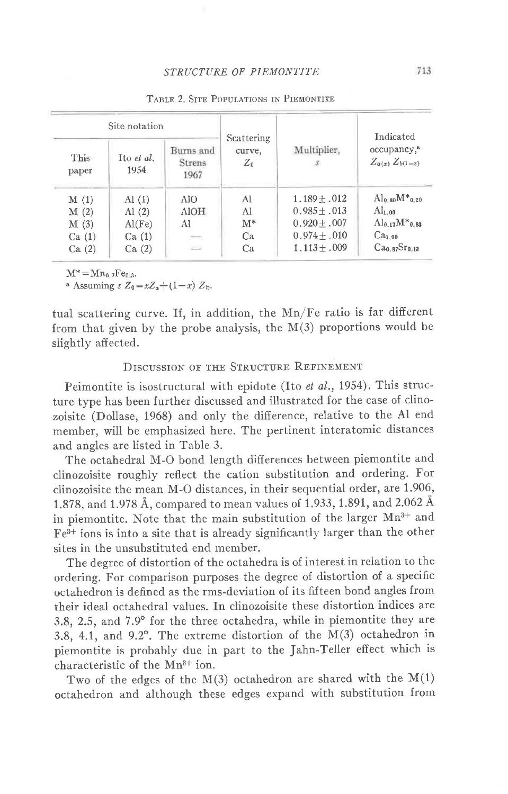|               | Site notation      |                                    |                               |                              | Indicated                                        |  |
|---------------|--------------------|------------------------------------|-------------------------------|------------------------------|--------------------------------------------------|--|
| This<br>paper | Ito et al.<br>1954 | Burns and<br><b>Strens</b><br>1967 | Scattering<br>curve,<br>$Z_0$ | Multiplier,<br>$\mathcal{S}$ | occupancy, <sup>a</sup><br>$Z_{a(x)} Z_{b(1-x)}$ |  |
| M(1)          | $\mathrm{Al}$ (1)  | AlO                                | Al                            | $1.189 + .012$               | $Al_{0.80}M*_{0.20}$                             |  |
| M(2)          | $\mathrm{Al}$ (2)  | <b>AlOH</b>                        | Al                            | $0.985 + .013$               | $\mathrm{Al}_{1.00}$                             |  |
| M(3)          | Al(Fe)             | AI                                 | $M^*$                         | $0.920 + .007$               | $\text{Al}_{0.17}\text{M}^*_{0.83}$              |  |
| Ca(1)         | Ca(1)              | $\sim$                             | Ca                            | $0.974 \pm .010$             | Ca <sub>1.00</sub>                               |  |
| Ca(2)         | Ca(2)              | $\sim$                             | Ca                            | $1.113 + .009$               | Ca <sub>0.87</sub> Sr <sub>0.13</sub>            |  |

TABLE 2 SITE POPULATIONS IN PIEMONTITE

 $M^* = Mn_0$   $_7Fe_0$  3.

<sup>a</sup> Assuming  $S Z_0 = xZ_a + (1-x) Z_b$ .

tual scattering curve. If, in addition, the Mn/Fe ratio is far different from that given by the probe analysis, the  $M(3)$  proportions would be slightly affected.

# DISCUSSION OF THE STRUCTURE REFINEMENT

Peimontite is isostructural with epidote (Ito et al., 1954). This structure type has been further discussed and illustrated for the case of clinozoisite (Dollase, 1968) and only the difference, relative to the Al end member, will be emphasized here. The pertinent interatomic distances and angles are listed in Table 3.

The octahedral M-O bond length differences between piemontite and clinozoisite roughly reflect the cation substitution and ordering. For clinozoisite the mean M-O distances, in their sequential order, are 1.906, 1.878, and 1.978 Å, compared to mean values of 1.933, 1.891, and 2.062 Å in piemontite. Note that the main substitution of the larger Mn<sup>3+</sup> and  $Fe<sup>3+</sup>$  ions is into a site that is already significantly larger than the other sites in the unsubstituted end member.

The degree of distortion of the octahedra is of interest in relation to the ordering. For comparison purposes the degree of distortion of a specific octahedron is defined as the rms-deviation of its fifteen bond angles from their ideal octahedral values. In clinozoisite these distortion indices are 3.8, 2.5, and 7.9° for the three octahedra, while in piemontite they are 3.8, 4.1, and 9.2°. The extreme distortion of the M(3) octahedron in piemontite is probably due in part to the Jahn-Teller effect which is characteristic of the Mn<sup>3+</sup> ion.

Two of the edges of the  $M(3)$  octahedron are shared with the  $M(1)$ octahedron and although these edges expand with substitution from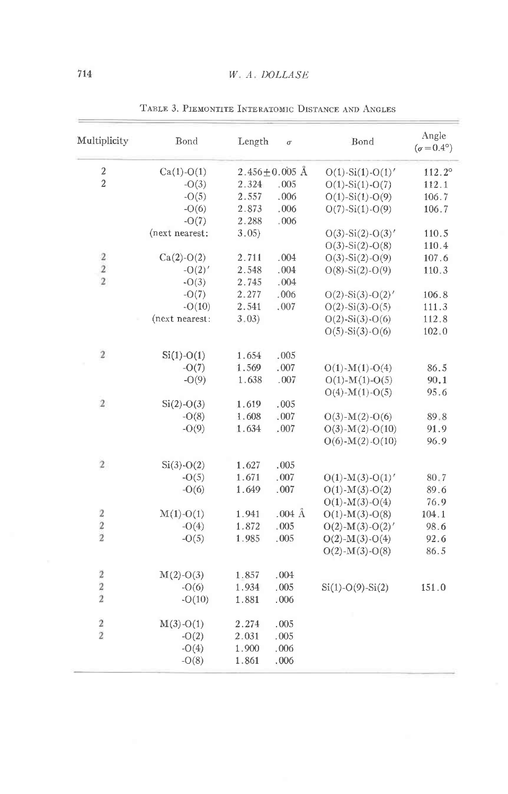| Multiplicity            | Bond           | Length | $\sigma$            | Bond                       | Angle<br>$(\sigma = 0.4^{\circ})$ |
|-------------------------|----------------|--------|---------------------|----------------------------|-----------------------------------|
| $\overline{\mathbf{c}}$ | $Ca(1)-O(1)$   |        | $2.456 \pm 0.005$ Å | $O(1) - Si(1) - O(1)'$     | 112.2°                            |
| $\overline{2}$          | $-O(3)$        | 2.324  | .005                | $O(1) - Si(1) - O(7)$      | 112.1                             |
|                         | $-O(5)$        | 2.557  | .006                | $O(1) - Si(1) - O(9)$      | 106.7                             |
|                         | $-O(6)$        | 2.873  | .006                | $O(7)$ -Si $(1)$ -O $(9)$  | 106.7                             |
|                         | $-O(7)$        | 2.288  | .006                |                            |                                   |
|                         | (next nearest: | 3.05)  |                     | $O(3)$ -Si $(2)$ -O $(3)'$ | 110.5                             |
|                         |                |        |                     | $O(3)$ -Si $(2)$ -O $(8)$  | 110.4                             |
| $\boldsymbol{2}$        | $Ca(2)-O(2)$   | 2.711  | .004                | $O(3)$ -Si $(2)$ -O $(9)$  | 107.6                             |
| $\overline{\mathbf{2}}$ | $-O(2)'$       | 2.548  | .004                | $O(8) - Si(2) - O(9)$      | 110.3                             |
| $\overline{2}$          | $-O(3)$        | 2.745  | .004                |                            |                                   |
|                         | $-O(7)$        | 2.277  | .006                | $O(2)$ -Si $(3)$ -O $(2)'$ | 106.8                             |
|                         | $-O(10)$       | 2.541  | .007                | $O(2) - Si(3) - O(5)$      | 111.3                             |
|                         | (next nearest: | 3.03)  |                     | $O(2) - Si(3) - O(6)$      | 112.8                             |
|                         |                |        |                     | $O(5) - Si(3) - O(6)$      | 102.0                             |
| $\overline{2}$          | $Si(1)-O(1)$   | 1.654  | .005                |                            |                                   |
|                         | $-O(7)$        | 1.569  | .007                | $O(1)$ - $M(1)$ - $O(4)$   | 86.5                              |
|                         | $-O(9)$        | 1.638  | .007                | $O(1)$ - $M(1)$ - $O(5)$   | 90.1                              |
|                         |                |        |                     | $O(4)$ - $M(1)$ - $O(5)$   | 95.6                              |
| $\mathbf{2}$            | $Si(2)-O(3)$   | 1.619  | .005                |                            |                                   |
|                         | $-O(8)$        | 1.608  | .007                | $O(3)$ - $M(2)$ - $O(6)$   | 89.8                              |
|                         | $-O(9)$        | 1.634  | .007                | $O(3)$ -M(2)- $O(10)$      | 91.9                              |
|                         |                |        |                     | $O(6)$ -M(2)- $O(10)$      | 96.9                              |
| $\overline{2}$          | $Si(3)-O(2)$   | 1.627  | .005                |                            |                                   |
|                         | $-O(5)$        | 1.671  | .007                | $O(1)$ - $M(3)$ - $O(1)'$  | 80.7                              |
|                         | $-O(6)$        | 1.649  | .007                | $O(1)$ - $M(3)$ - $O(2)$   | 89.6                              |
|                         |                |        |                     | $O(1)$ - $M(3)$ - $O(4)$   | 76.9                              |
| $\sqrt{2}$              | $M(1)-O(1)$    | 1.941  | $.004 \text{ Å}$    | $O(1)$ - $M(3)$ - $O(8)$   | 104.1                             |
| $\overline{2}$          | $-O(4)$        | 1.872  | .005                | $O(2)$ - $M(3)$ - $O(2)'$  | 98.6                              |
| $\overline{2}$          | $-O(5)$        | 1.985  | .005                | $O(2)$ -M(3)- $O(4)$       | 92.6                              |
|                         |                |        |                     | $O(2)$ -M(3)- $O(8)$       | 86.5                              |
| $\overline{\mathbf{2}}$ | $M(2)-O(3)$    | 1.857  | .004                |                            |                                   |
| $\overline{\mathbf{c}}$ | $-O(6)$        | 1.934  | .005                | $Si(1)-O(9)-Si(2)$         | 151.0                             |
| $\overline{\mathbf{2}}$ | $-O(10)$       | 1.881  | .006                |                            |                                   |
| $\overline{\mathbf{c}}$ | $M(3)-O(1)$    | 2.274  | .005                |                            |                                   |
| $\overline{2}$          | $-O(2)$        | 2.031  | .005                |                            |                                   |
|                         | $-O(4)$        | 1.900  | .006                |                            |                                   |
|                         | $-O(8)$        | 1.861  | .006                |                            |                                   |

TABLE 3. PIEMONTITE INTERATOMIC DISTANCE AND ANGLES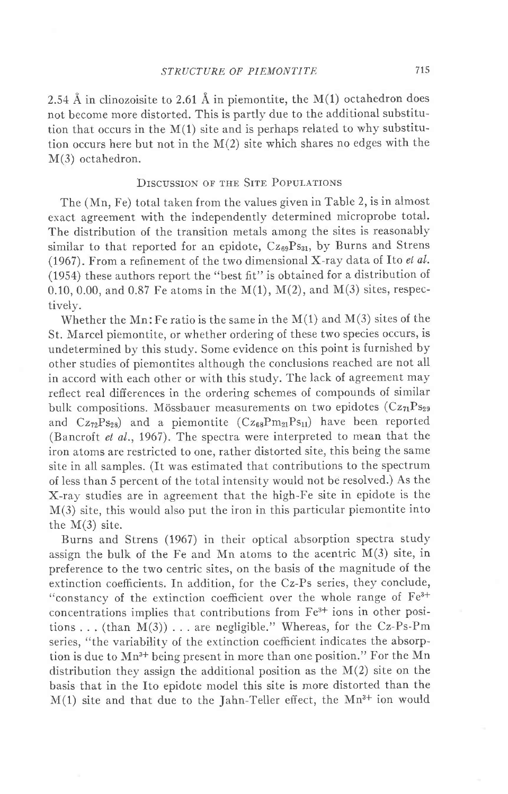2.54 Å in clinozoisite to 2.61 Å in piemontite, the  $M(1)$  octahedron does not become more distorted. This is partly due to the additional substitution that occurs in the  $M(1)$  site and is perhaps related to why substitution occurs here but not in the M(2) site which shares no edges with the M(3) octahedron.

## DISCUSSION OF THE SITE POPULATIONS

The (Mn, Fe) total taken from the values given in Table 2, is in almost exact agreement with the independently determined microprobe total. The distribution of the transition metals among the sites is reasonably similar to that reported for an epidote, Cz<sub>69</sub>Ps<sub>31</sub>, by Burns and Strens (1967). From a refinement of the two dimensional X-ray data of Ito  $el$  al. (1954) these authors report the "best 6t" is obtained for a distribution of 0.10, 0.00, and 0.87 Fe atoms in the M(1), M(2), and M(3) sites, respectively.

Whether the Mn: Fe ratio is the same in the  $M(1)$  and  $M(3)$  sites of the St. Marcel piemontite, or whether ordering of these two species occurs, is undetermined by this studv. Some evidence on this point is furnished by other studies of piemontites although the conclusions reached are not all in accord with each other or with this study. The lack of agreement may reflect real differences in the ordering schemes of compounds of similar bulk compositions. Mössbauer measurements on two epidotes ( $Cz_{71}Ps_{29}$ and  $Cz_{72}Ps_{28}$ ) and a piemontite  $(Cz_{68}Pm_{21}Ps_{11})$  have been reported (Bancroft et al., 1967). The spectra were interpreted to mean that the iron atoms are restricted to one, rather distorted site, this being the same site in all samples. (It was estimated that contributions to the spectrum of less than 5 percent of the total intensity would not be resolved.) As the X-ray studies are in agreement that the high-Fe site in epidote is the M(3) site, this would also put the iron in this particular piemontite into the  $M(3)$  site.

Burns and Strens (1967) in their optical absorption spectra study assign the bulk of the Fe and Mn atoms to the acentric  $M(3)$  site, in preference to the two centric sites, on the basis of the magnitude of the extinction coefficients. In addition, for the Cz-Ps series, they conclude, "constancy of the extinction coefficient over the whole range of Fe<sup>3+</sup> concentrations implies that contributions from  $Fe<sup>3+</sup>$  ions in other positions . . . (than  $M(3)$ ) . . . are negligible." Whereas, for the Cz-Ps-Pm series, "the variability of the extinction coefficient indicates the absorption is due to Mn<sup>3+</sup> being present in more than one position." For the Mn distribution they assign the additional position as the  $M(2)$  site on the basis that in the Ito epidote model this site is more distorted than the  $M(1)$  site and that due to the Jahn-Teller effect, the  $Mn^{3+}$  ion would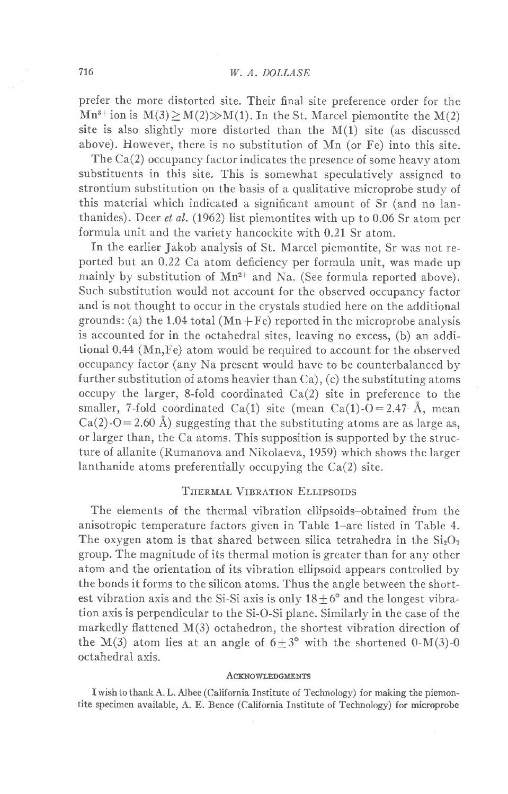prefer the more distorted site. Their final site preference order for the  $Mn^{3+}$  ion is  $M(3) \ge M(2) \gg M(1)$ . In the St. Marcel piemontite the  $M(2)$ site is also slightly more distorted than the  $M(1)$  site (as discussed above). However, there is no substitution of Mn (or Fe) into this site.

The Ca(2) occupancy factor indicates the presence of some heavy atom substituents in this site. This is somewhat speculatively assigned to strontium substitution on the basis of a qualitative microprobe study of this material which indicated a significant amount of Sr (and no lanthanides). Deer et al. (1962) list piemontites with up to 0.06 Sr atom per formula unit and the variety hancockite with 0.21 Sr atom.

In the earlier Jakob analysis of St. Marcel piemontite, Sr was not reported but an 0.22 Ca. atom deficiency per formula unit, was made up mainly by substitution of  $Mn^{2+}$  and Na. (See formula reported above). Such substitution would not account for the observed occupancy factor and is not thought to occur in the crystals studied here on the additional grounds: (a) the 1.04 total  $(Mn + Fe)$  reported in the microprobe analysis is accounted for in the octahedral sites, Ieaving no excess, (b) an additional 0.44 (Mn,Fe) atom would be required to account for the observed occupancy factor (any Na present would have to be counterbalanced by further substitution of atoms heavier than Ca), (c) the substituting atoms occupy the larger, 8-fold coordinated  $Ca(2)$  site in preference to the smaller, 7-fold coordinated Ca(1) site (mean Ca(1)-O=2.47 Å, mean  $Ca(2)-O=2.60$  Å) suggesting that the substituting atoms are as large as, or larger than, the Ca atoms. This supposition is supported by the structure of allanite (Rumanova and Nikolaeva, 1959) which shows the larger Ianthanide atoms preferentially occupying the Ca(2) site.

## THERMAL VIBRATION ELLIPSOIDS

The elements of the thermal vibration ellipsoids-obtained from the anisotropic temperature factors given in Table 1-are listed in Table 4. The oxygen atom is that shared between silica tetrahedra in the  $Si<sub>2</sub>O<sub>7</sub>$ group. The magnitude of its thermal motion is greater than for any other atom and the orientation of its vibration ellipsoid appears controlied by the bonds it forms to the silicon atoms. Thus the angle between the shortest vibration axis and the Si-Si axis is only  $18 \pm 6^{\circ}$  and the longest vibration axis is perpendicular to the Si-O-Si plane. Similarly in the case of the markedly flattened M(3) octahedron, the shortest vibration direction of the M(3) atom lies at an angle of  $6\pm3^{\circ}$  with the shortened 0-M(3)-0 octahedral axis.

#### **ACKNOWLEDGMENTS**

I wish to thank A. L. Albee (California Institute of Technology) for making the piemontite specimen available, A. E, Bence (California Institute of Technology) for microprobe